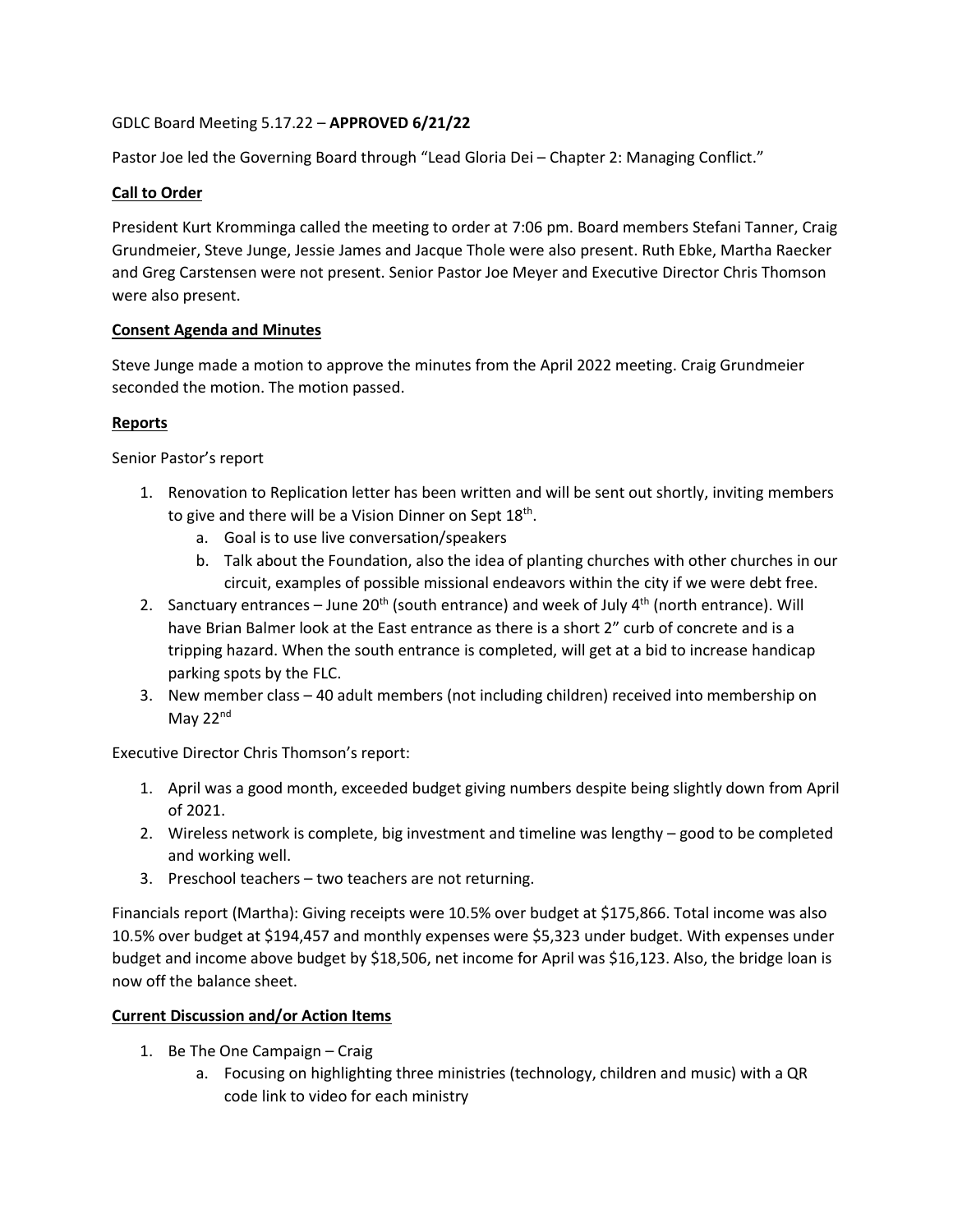# GDLC Board Meeting 5.17.22 – **APPROVED 6/21/22**

Pastor Joe led the Governing Board through "Lead Gloria Dei – Chapter 2: Managing Conflict."

## **Call to Order**

President Kurt Kromminga called the meeting to order at 7:06 pm. Board members Stefani Tanner, Craig Grundmeier, Steve Junge, Jessie James and Jacque Thole were also present. Ruth Ebke, Martha Raecker and Greg Carstensen were not present. Senior Pastor Joe Meyer and Executive Director Chris Thomson were also present.

## **Consent Agenda and Minutes**

Steve Junge made a motion to approve the minutes from the April 2022 meeting. Craig Grundmeier seconded the motion. The motion passed.

## **Reports**

Senior Pastor's report

- 1. Renovation to Replication letter has been written and will be sent out shortly, inviting members to give and there will be a Vision Dinner on Sept  $18<sup>th</sup>$ .
	- a. Goal is to use live conversation/speakers
	- b. Talk about the Foundation, also the idea of planting churches with other churches in our circuit, examples of possible missional endeavors within the city if we were debt free.
- 2. Sanctuary entrances June 20<sup>th</sup> (south entrance) and week of July  $4<sup>th</sup>$  (north entrance). Will have Brian Balmer look at the East entrance as there is a short 2" curb of concrete and is a tripping hazard. When the south entrance is completed, will get at a bid to increase handicap parking spots by the FLC.
- 3. New member class 40 adult members (not including children) received into membership on May 22<sup>nd</sup>

Executive Director Chris Thomson's report:

- 1. April was a good month, exceeded budget giving numbers despite being slightly down from April of 2021.
- 2. Wireless network is complete, big investment and timeline was lengthy good to be completed and working well.
- 3. Preschool teachers two teachers are not returning.

Financials report (Martha): Giving receipts were 10.5% over budget at \$175,866. Total income was also 10.5% over budget at \$194,457 and monthly expenses were \$5,323 under budget. With expenses under budget and income above budget by \$18,506, net income for April was \$16,123. Also, the bridge loan is now off the balance sheet.

## **Current Discussion and/or Action Items**

- 1. Be The One Campaign Craig
	- a. Focusing on highlighting three ministries (technology, children and music) with a QR code link to video for each ministry